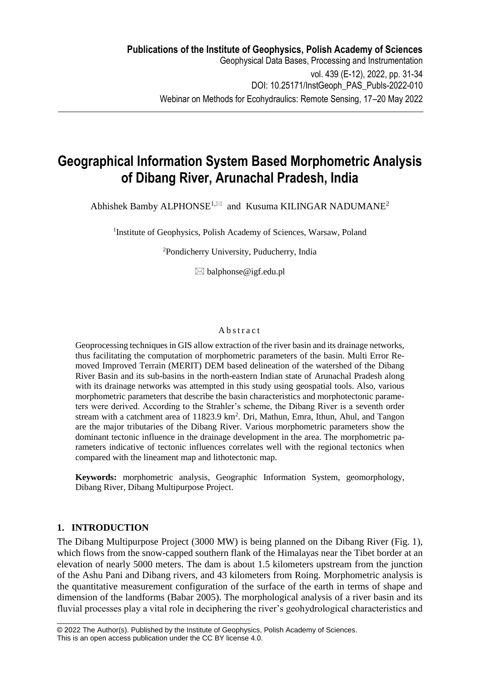# **Geographical Information System Based Morphometric Analysis of Dibang River, Arunachal Pradesh, India**

Abhishek Bamby ALPHONSE<sup>1, $\boxtimes$ </sup> and Kusuma KILINGAR NADUMANE<sup>2</sup>

<sup>1</sup>Institute of Geophysics, Polish Academy of Sciences, Warsaw, Poland

<sup>2</sup>Pondicherry University, Puducherry, India

 $\boxtimes$  balphonse@igf.edu.pl

### **A** b s t r a c t

Geoprocessing techniques in GIS allow extraction of the river basin and its drainage networks, thus facilitating the computation of morphometric parameters of the basin. Multi Error Removed Improved Terrain (MERIT) DEM based delineation of the watershed of the Dibang River Basin and its sub-basins in the north-eastern Indian state of Arunachal Pradesh along with its drainage networks was attempted in this study using geospatial tools. Also, various morphometric parameters that describe the basin characteristics and morphotectonic parameters were derived. According to the Strahler's scheme, the Dibang River is a seventh order stream with a catchment area of  $11823.9 \text{ km}^2$ . Dri, Mathun, Emra, Ithun, Ahul, and Tangon are the major tributaries of the Dibang River. Various morphometric parameters show the dominant tectonic influence in the drainage development in the area. The morphometric parameters indicative of tectonic influences correlates well with the regional tectonics when compared with the lineament map and lithotectonic map.

**Keywords:** morphometric analysis, Geographic Information System, geomorphology, Dibang River, Dibang Multipurpose Project.

## **1. INTRODUCTION**

The Dibang Multipurpose Project (3000 MW) is being planned on the Dibang River (Fig. 1), which flows from the snow-capped southern flank of the Himalayas near the Tibet border at an elevation of nearly 5000 meters. The dam is about 1.5 kilometers upstream from the junction of the Ashu Pani and Dibang rivers, and 43 kilometers from Roing. Morphometric analysis is the quantitative measurement configuration of the surface of the earth in terms of shape and dimension of the landforms (Babar 2005). The morphological analysis of a river basin and its fluvial processes play a vital role in deciphering the river's geohydrological characteristics and

\_\_\_\_\_\_\_\_\_\_\_\_\_\_\_\_\_\_\_\_\_\_\_\_\_\_\_\_\_\_\_\_\_\_\_\_\_\_\_\_\_\_\_\_\_\_\_\_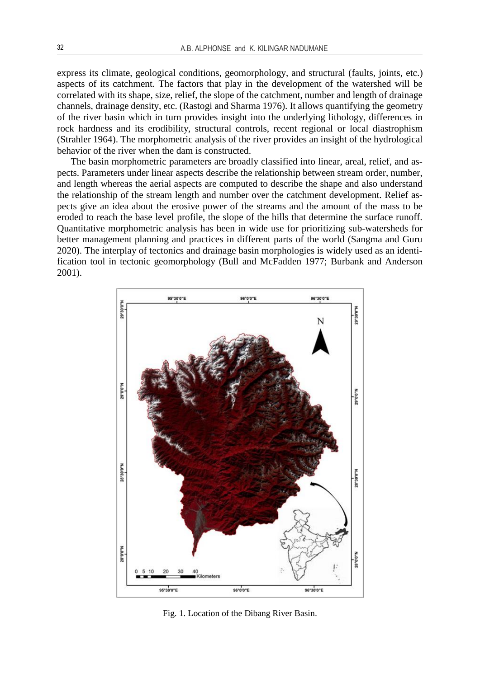express its climate, geological conditions, geomorphology, and structural (faults, joints, etc.) aspects of its catchment. The factors that play in the development of the watershed will be correlated with its shape, size, relief, the slope of the catchment, number and length of drainage channels, drainage density, etc. (Rastogi and Sharma 1976). It allows quantifying the geometry of the river basin which in turn provides insight into the underlying lithology, differences in rock hardness and its erodibility, structural controls, recent regional or local diastrophism (Strahler 1964). The morphometric analysis of the river provides an insight of the hydrological behavior of the river when the dam is constructed.

The basin morphometric parameters are broadly classified into linear, areal, relief, and aspects. Parameters under linear aspects describe the relationship between stream order, number, and length whereas the aerial aspects are computed to describe the shape and also understand the relationship of the stream length and number over the catchment development. Relief aspects give an idea about the erosive power of the streams and the amount of the mass to be eroded to reach the base level profile, the slope of the hills that determine the surface runoff. Quantitative morphometric analysis has been in wide use for prioritizing sub-watersheds for better management planning and practices in different parts of the world (Sangma and Guru 2020). The interplay of tectonics and drainage basin morphologies is widely used as an identification tool in tectonic geomorphology (Bull and McFadden 1977; Burbank and Anderson 2001).



Fig. 1. Location of the Dibang River Basin.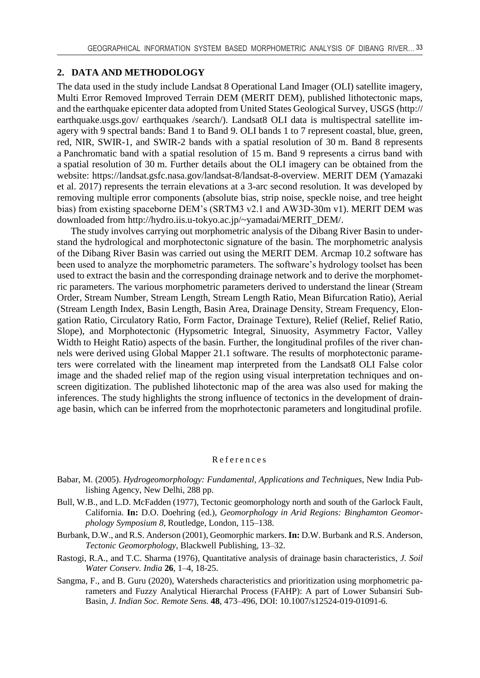## **2. DATA AND METHODOLOGY**

The data used in the study include Landsat 8 Operational Land Imager (OLI) satellite imagery, Multi Error Removed Improved Terrain DEM (MERIT DEM), published lithotectonic maps, and the earthquake epicenter data adopted from United States Geological Survey, USGS (http:// earthquake.usgs.gov/ earthquakes /search/). Landsat8 OLI data is multispectral satellite imagery with 9 spectral bands: Band 1 to Band 9. OLI bands 1 to 7 represent coastal, blue, green, red, NIR, SWIR-1, and SWIR-2 bands with a spatial resolution of 30 m. Band 8 represents a Panchromatic band with a spatial resolution of 15 m. Band 9 represents a cirrus band with a spatial resolution of 30 m. Further details about the OLI imagery can be obtained from the website: https://landsat.gsfc.nasa.gov/landsat-8/landsat-8-overview. MERIT DEM (Yamazaki et al. 2017) represents the terrain elevations at a 3-arc second resolution. It was developed by removing multiple error components (absolute bias, strip noise, speckle noise, and tree height bias) from existing spaceborne DEM's (SRTM3 v2.1 and AW3D-30m v1). MERIT DEM was downloaded from http://hydro.iis.u-tokyo.ac.jp/~yamadai/MERIT\_DEM/.

The study involves carrying out morphometric analysis of the Dibang River Basin to understand the hydrological and morphotectonic signature of the basin. The morphometric analysis of the Dibang River Basin was carried out using the MERIT DEM. Arcmap 10.2 software has been used to analyze the morphometric parameters. The software's hydrology toolset has been used to extract the basin and the corresponding drainage network and to derive the morphometric parameters. The various morphometric parameters derived to understand the linear (Stream Order, Stream Number, Stream Length, Stream Length Ratio, Mean Bifurcation Ratio), Aerial (Stream Length Index, Basin Length, Basin Area, Drainage Density, Stream Frequency, Elongation Ratio, Circulatory Ratio, Form Factor, Drainage Texture), Relief (Relief, Relief Ratio, Slope), and Morphotectonic (Hypsometric Integral, Sinuosity, Asymmetry Factor, Valley Width to Height Ratio) aspects of the basin. Further, the longitudinal profiles of the river channels were derived using Global Mapper 21.1 software. The results of morphotectonic parameters were correlated with the lineament map interpreted from the Landsat8 OLI False color image and the shaded relief map of the region using visual interpretation techniques and onscreen digitization. The published lihotectonic map of the area was also used for making the inferences. The study highlights the strong influence of tectonics in the development of drainage basin, which can be inferred from the moprhotectonic parameters and longitudinal profile.

#### R e ferences

- Babar, M. (2005). *Hydrogeomorphology: Fundamental, Applications and Techniques*, New India Publishing Agency, New Delhi, 288 pp.
- Bull, W.B., and L.D. McFadden (1977), Tectonic geomorphology north and south of the Garlock Fault, California. **In:** D.O. Doehring (ed.), *Geomorphology in Arid Regions: Binghamton Geomorphology Symposium 8*, Routledge, London, 115–138.
- Burbank, D.W., and R.S. Anderson (2001), Geomorphic markers. **In:** D.W. Burbank and R.S. Anderson, *Tectonic Geomorphology*, Blackwell Publishing, 13–32.
- Rastogi, R.A., and T.C. Sharma (1976), Quantitative analysis of drainage basin characteristics, *J. Soil Water Conserv. India* **26**, 1–4, 18-25.
- Sangma, F., and B. Guru (2020), Watersheds characteristics and prioritization using morphometric parameters and Fuzzy Analytical Hierarchal Process (FAHP): A part of Lower Subansiri Sub-Basin, *J. Indian Soc. Remote Sens.* **48**, 473–496, DOI: 10.1007/s12524-019-01091-6.